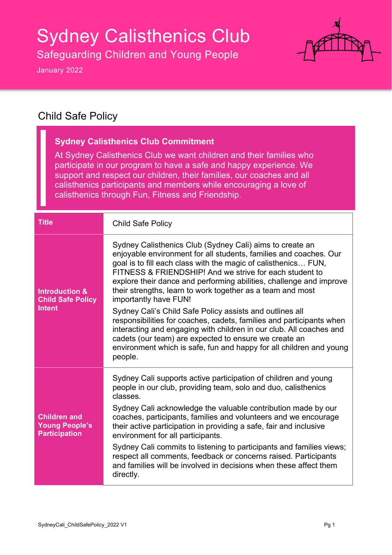# Sydney Calisthenics Club

Safeguarding Children and Young People

January 2022

**The Co** 



#### Child Safe Policy

| <b>Sydney Calisthenics Club Commitment</b><br>At Sydney Calisthenics Club we want children and their families who<br>participate in our program to have a safe and happy experience. We<br>support and respect our children, their families, our coaches and all<br>calisthenics participants and members while encouraging a love of<br>calisthenics through Fun, Fitness and Friendship. |                                                                                                                                                                                                                                                                                                                                                                                                                                                                                                                                                                                                                                                                                                                                                                                |  |
|--------------------------------------------------------------------------------------------------------------------------------------------------------------------------------------------------------------------------------------------------------------------------------------------------------------------------------------------------------------------------------------------|--------------------------------------------------------------------------------------------------------------------------------------------------------------------------------------------------------------------------------------------------------------------------------------------------------------------------------------------------------------------------------------------------------------------------------------------------------------------------------------------------------------------------------------------------------------------------------------------------------------------------------------------------------------------------------------------------------------------------------------------------------------------------------|--|
| <b>Title</b>                                                                                                                                                                                                                                                                                                                                                                               | <b>Child Safe Policy</b>                                                                                                                                                                                                                                                                                                                                                                                                                                                                                                                                                                                                                                                                                                                                                       |  |
| <b>Introduction &amp;</b><br><b>Child Safe Policy</b><br><b>Intent</b>                                                                                                                                                                                                                                                                                                                     | Sydney Calisthenics Club (Sydney Cali) aims to create an<br>enjoyable environment for all students, families and coaches. Our<br>goal is to fill each class with the magic of calisthenics FUN,<br>FITNESS & FRIENDSHIP! And we strive for each student to<br>explore their dance and performing abilities, challenge and improve<br>their strengths, learn to work together as a team and most<br>importantly have FUN!<br>Sydney Cali's Child Safe Policy assists and outlines all<br>responsibilities for coaches, cadets, families and participants when<br>interacting and engaging with children in our club. All coaches and<br>cadets (our team) are expected to ensure we create an<br>environment which is safe, fun and happy for all children and young<br>people. |  |
| <b>Children and</b><br><b>Young People's</b><br><b>Participation</b>                                                                                                                                                                                                                                                                                                                       | Sydney Cali supports active participation of children and young<br>people in our club, providing team, solo and duo, calisthenics<br>classes.<br>Sydney Cali acknowledge the valuable contribution made by our<br>coaches, participants, families and volunteers and we encourage<br>their active participation in providing a safe, fair and inclusive<br>environment for all participants.<br>Sydney Cali commits to listening to participants and families views;<br>respect all comments, feedback or concerns raised. Participants<br>and families will be involved in decisions when these affect them<br>directly.                                                                                                                                                      |  |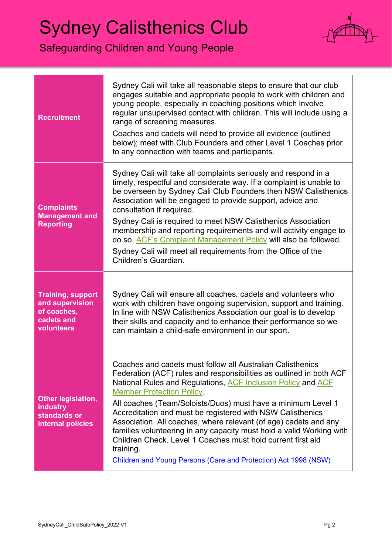### Sydney Calisthenics Club

#### Safeguarding Children and Young People



| <b>Recruitment</b>                                                                     | Sydney Cali will take all reasonable steps to ensure that our club<br>engages suitable and appropriate people to work with children and<br>young people, especially in coaching positions which involve<br>regular unsupervised contact with children. This will include using a<br>range of screening measures.<br>Coaches and cadets will need to provide all evidence (outlined<br>below); meet with Club Founders and other Level 1 Coaches prior<br>to any connection with teams and participants.                                                                                                                                                        |
|----------------------------------------------------------------------------------------|----------------------------------------------------------------------------------------------------------------------------------------------------------------------------------------------------------------------------------------------------------------------------------------------------------------------------------------------------------------------------------------------------------------------------------------------------------------------------------------------------------------------------------------------------------------------------------------------------------------------------------------------------------------|
| <b>Complaints</b><br><b>Management and</b><br><b>Reporting</b>                         | Sydney Cali will take all complaints seriously and respond in a<br>timely, respectful and considerate way. If a complaint is unable to<br>be overseen by Sydney Cali Club Founders then NSW Calisthenics<br>Association will be engaged to provide support, advice and<br>consultation if required.<br>Sydney Cali is required to meet NSW Calisthenics Association<br>membership and reporting requirements and will activity engage to<br>do so. ACF's Complaint Management Policy will also be followed.<br>Sydney Cali will meet all requirements from the Office of the<br>Children's Guardian.                                                           |
| <b>Training, support</b><br>and supervision<br>of coaches,<br>cadets and<br>volunteers | Sydney Cali will ensure all coaches, cadets and volunteers who<br>work with children have ongoing supervision, support and training.<br>In line with NSW Calisthenics Association our goal is to develop<br>their skills and capacity and to enhance their performance so we<br>can maintain a child-safe environment in our sport.                                                                                                                                                                                                                                                                                                                            |
| Other legislation,<br><b>industry</b><br>standards or<br>internal policies             | Coaches and cadets must follow all Australian Calisthenics<br>Federation (ACF) rules and responsibilities as outlined in both ACF<br>National Rules and Regulations, ACF Inclusion Policy and ACF<br><b>Member Protection Policy.</b><br>All coaches (Team/Soloists/Duos) must have a minimum Level 1<br>Accreditation and must be registered with NSW Calisthenics<br>Association. All coaches, where relevant (of age) cadets and any<br>families volunteering in any capacity must hold a valid Working with<br>Children Check. Level 1 Coaches must hold current first aid<br>training.<br>Children and Young Persons (Care and Protection) Act 1998 (NSW) |